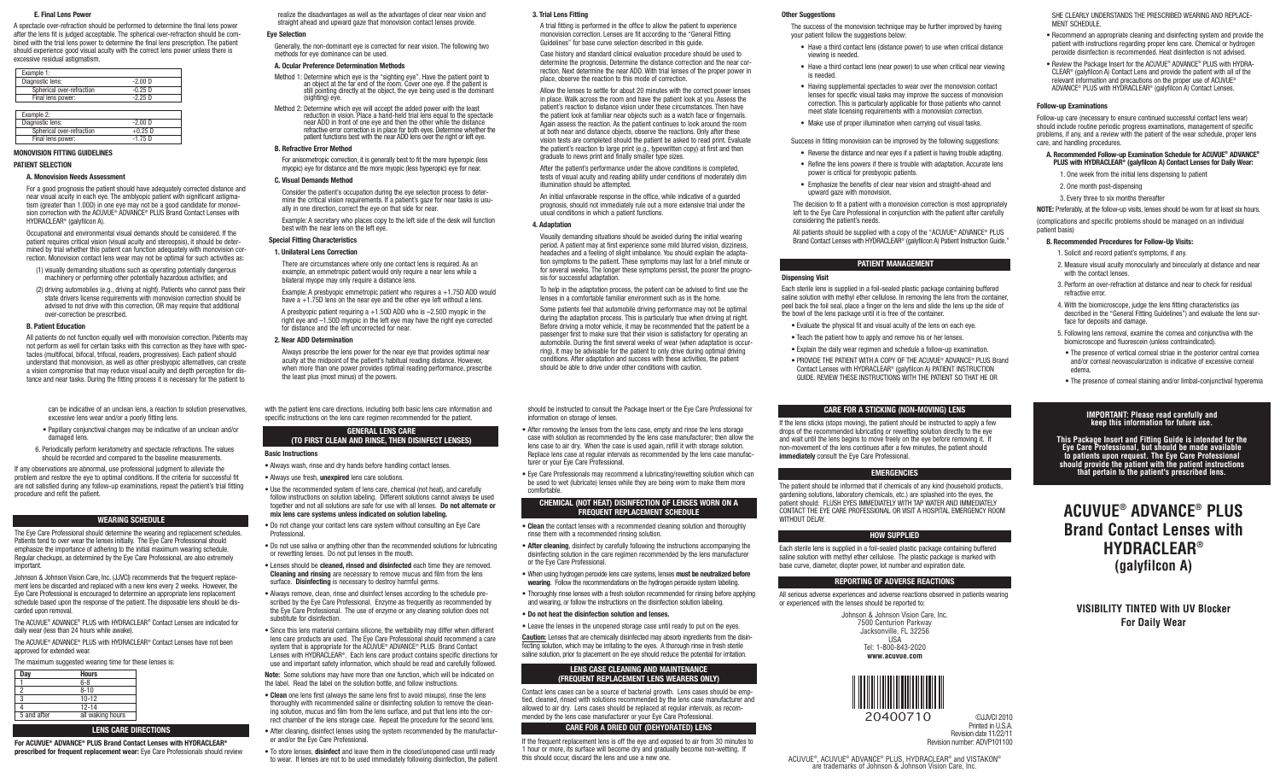## **E. Final Lens Power**

A spectacle over-refraction should be performed to determine the final lens power after the lens fit is judged acceptable. The spherical over-refraction should be combined with the trial lens power to determine the final lens prescription. The patient should experience good visual acuity with the correct lens power unless there is excessive residual astigmatism.

| Example 1:                |          |
|---------------------------|----------|
| Diagnostic lens:          | $-2.00D$ |
| Spherical over-refraction | $-0.25D$ |
| Final lens power:         | $-2.25D$ |
|                           |          |
| Example 2:                |          |
| Diagnostic lens:          | $-2.00D$ |
| _____                     | - - - -  |

# Spherical over-refraction +0.25 D<br>Final lens power: -1.75 D Final lens power:

## **MONOVISION FITTING GUIDELINES PATIENT SELECTION**

# **A. Monovision Needs Assessment**

For a good prognosis the patient should have adequately corrected distance and near visual acuity in each eye. The amblyopic patient with significant astigmatism (greater than 1.00D) in one eye may not be a good candidate for monovision correction with the ACUVUE® ADVANCE® PLUS Brand Contact Lenses with HYDRACLEAR<sup>®</sup> (galyfilcon A)

Occupational and environmental visual demands should be considered. If the patient requires critical vision (visual acuity and stereopsis), it should be determined by trial whether this patient can function adequately with monovision correction. Monovision contact lens wear may not be optimal for such activities as:

- (1) visually demanding situations such as operating potentially dangerous machinery or performing other potentially hazardous activities; and
- (2) driving automobiles (e.g., driving at night). Patients who cannot pass their state drivers license requirements with monovision correction should be advised to not drive with this correction, OR may require that additional over-correction be prescribed.

## **B. Patient Education**

All patients do not function equally well with monovision correction. Patients may not perform as well for certain tasks with this correction as they have with spectacles (multifocal, bifocal, trifocal, readers, progressives). Each patient should understand that monovision, as well as other presbyopic alternatives, can create a vision compromise that may reduce visual acuity and depth perception for distance and near tasks. During the fitting process it is necessary for the patient to

can be indicative of an unclean lens, a reaction to solution preservatives, excessive lens wear and/or a poorly fitting lens.

• Papillary conjunctival changes may be indicative of an unclean and/or damaged lens.

6. Periodically perform keratometry and spectacle refractions. The values should be recorded and compared to the baseline measurements.

If any observations are abnormal, use professional judgment to alleviate the problem and restore the eye to optimal conditions. If the criteria for successful fit are not satisfied during any follow-up examinations, repeat the patient's trial fitting procedure and refit the patient.

#### **WEARING SCHEDULE**

The Eye Care Professional should determine the wearing and replacement schedules. Patients tend to over wear the lenses initially. The Eye Care Professional should emphasize the importance of adhering to the initial maximum wearing schedule. Regular checkups, as determined by the Eye Care Professional, are also extremely important.

Johnson & Johnson Vision Care, Inc. (JJVCI) recommends that the frequent replacement lens be discarded and replaced with a new lens every 2 weeks. However, the Eye Care Professional is encouraged to determine an appropriate lens replacement schedule based upon the response of the patient. The disposable lens should be discarded upon removal.

The ACUVUE® ADVANCE® PLUS with HYDRACLEAR® Contact Lenses are indicated for daily wear (less than 24 hours while awake). The ACUVUE® ADVANCE® PLUS with HYDRACLEAR® Contact Lenses have not been

approved for extended wear.

The maximum suggested wearing time for these lenses is:

| Day         | <b>Hours</b>     |
|-------------|------------------|
|             | $6 - 8$          |
|             | $8 - 10$         |
|             | $10 - 12$        |
|             | $12 - 14$        |
| 5 and after | all waking hours |
|             |                  |

## **LENS CARE DIRECTIONS**

**For ACUVUE® ADVANCE® PLUS Brand Contact Lenses with HYDRACLEAR®**

realize the disadvantages as well as the advantages of clear near vision and straight ahead and upward gaze that monovision contact lenses provide.

#### **Eye Selection**

Generally, the non-dominant eye is corrected for near vision. The following two methods for eye dominance can be used.

#### **A. Ocular Preference Determination Methods**

- Method 1: Determine which eye is the "sighting eye". Have the patient point to an object at the far end of the room. Cover one eye. If the patient is still pointing directly at the object, the eye being used is the dominan (sighting) eye.
- Method 2: Determine which eye will accept the added power with the least<br>reduction in vision. Place a hand-held trial lens equal to the spectacle<br>near ADD in front of one eye and then the district endistance<br>refractive err

## **B. Refractive Error Method**

For anisometropic correction, it is generally best to fit the more hyperopic (less myopic) eye for distance and the more myopic (less hyperopic) eye for near.

## **C. Visual Demands Method**

Consider the patient's occupation during the eye selection process to determine the critical vision requirements. If a patient's gaze for near tasks is usually in one direction, correct the eye on that side for near.

Example: A secretary who places copy to the left side of the desk will function best with the near lens on the left eye.

# **Special Fitting Characteristics**

# **1. Unilateral Lens Correction**

There are circumstances where only one contact lens is required. As an example, an emmetropic patient would only require a near lens while a bilateral myope may only require a distance lens.

Example: A presbyopic emmetropic patient who requires a +1.75D ADD would have a +1.75D lens on the near eye and the other eye left without a lens.

A presbyopic patient requiring a +1.50D ADD who is –2.50D myopic in the right eye and –1.50D myopic in the left eye may have the right eye corrected for distance and the left uncorrected for near.

## **2. Near ADD Determination**

Always prescribe the lens power for the near eye that provides optimal near acuity at the midpoint of the patient's habitual reading distance. However, when more than one power provides optimal reading performance, prescribe the least plus (most minus) of the powers.

with the patient lens care directions, including both basic lens care information and specific instructions on the lens care regimen recommended for the patient.

# **GENERAL LENS CARE (TO FIRST CLEAN AND RINSE, THEN DISINFECT LENSES)**

**Basic Instructions**

• Always wash, rinse and dry hands before handling contact lenses.

- Always use fresh, **unexpired** lens care solutions. • Use the recommended system of lens care, chemical (not heat), and carefully follow instructions on solution labeling. Different solutions cannot always be used together and not all solutions are safe for use with all lenses. **Do not alternate or mix lens care systems unless indicated on solution labeling.**
- Do not change your contact lens care system without consulting an Eye Care **Professional**

• Do not use saliva or anything other than the recommended solutions for lubricating or rewetting lenses. Do not put lenses in the mouth.

• Lenses should be **cleaned, rinsed and disinfected** each time they are removed. **Cleaning and rinsing** are necessary to remove mucus and film from the lens surface. **Disinfecting** is necessary to destroy harmful germs.

• Always remove, clean, rinse and disinfect lenses according to the schedule prescribed by the Eye Care Professional. Enzyme as frequently as recommended by the Eye Care Professional. The use of enzyme or any cleaning solution does not substitute for disinfection.

• Since this lens material contains silicone, the wettability may differ when different lens care products are used. The Eye Care Professional should recommend a care system that is appropriate for the ACUVUE® ADVANCE® PLUS Brand Contact Lenses with HYDRACLEAR®. Each lens care product contains specific directions for use and important safety information, which should be read and carefully followed.

**Note:** Some solutions may have more than one function, which will be indicated on the label. Read the label on the solution bottle, and follow instructions.

• **Clean** one lens first (always the same lens first to avoid mixups), rinse the lens thoroughly with recommended saline or disinfecting solution to remove the cleaning solution, mucus and film from the lens surface, and put that lens into the correct chamber of the lens storage case. Repeat the procedure for the second lens.

• After cleaning, disinfect lenses using the system recommended by the manufacturer and/or the Eye Care Professional.

• To store lenses, **disinfect** and leave them in the closed/unopened case until ready prescribed for frequent replacement wear: Eye Care Professionals should review . To store lenses, distrifect and leave them in the closed/unopened case until ready . In nur or more, its should occur, discard the lens and w

## **3. Trial Lens Fitting**

A trial fitting is performed in the office to allow the patient to experience monovision correction. Lenses are fit according to the "General Fitting Guidelines" for base curve selection described in this guide.

Case history and standard clinical evaluation procedure should be used to determine the prognosis. Determine the distance correction and the near correction. Next determine the near ADD. With trial lenses of the proper power in place, observe the reaction to this mode of correction.

Allow the lenses to settle for about 20 minutes with the correct power lenses in place. Walk across the room and have the patient look at you. Assess the patient's reaction to distance vision under these circumstances. Then have the patient look at familiar near objects such as a watch face or fingernails. Again assess the reaction. As the patient continues to look around the room at both near and distance objects, observe the reactions. Only after these vision tests are completed should the patient be asked to read print. Evaluate the patient's reaction to large print (e.g., typewritten copy) at first and then graduate to news print and finally smaller type sizes.

After the patient's performance under the above conditions is completed, tests of visual acuity and reading ability under conditions of moderately dim illumination should be attempted.

An initial unfavorable response in the office, while indicative of a guarded prognosis, should not immediately rule out a more extensive trial under the usual conditions in which a patient functions.

## **4. Adaptation**

Visually demanding situations should be avoided during the initial wearing period. A patient may at first experience some mild blurred vision, dizziness, headaches and a feeling of slight imbalance. You should explain the adaptation symptoms to the patient. These symptoms may last for a brief minute or for several weeks. The longer these symptoms persist, the poorer the prognosis for successful adaptation.

To help in the adaptation process, the patient can be advised to first use the lenses in a comfortable familiar environment such as in the home.

Some patients feel that automobile driving performance may not be optimal during the adaptation process. This is particularly true when driving at night. Before driving a motor vehicle, it may be recommended that the patient be a passenger first to make sure that their vision is satisfactory for operating an automobile. During the first several weeks of wear (when adaptation is occurring), it may be advisable for the patient to only drive during optimal driving conditions. After adaptation and success with these activities, the patient should be able to drive under other conditions with caution.

should be instructed to consult the Package Insert or the Eye Care Professional for information on storage of lenses.

• After removing the lenses from the lens case, empty and rinse the lens storage case with solution as recommended by the lens case manufacturer; then allow the lens case to air dry. When the case is used again, refill it with storage solution. Replace lens case at regular intervals as recommended by the lens case manufacturer or your Eye Care Professional.

• Eye Care Professionals may recommend a lubricating/rewetting solution which can be used to wet (lubricate) lenses while they are being worn to make them more comfortable.

## **CHEMICAL (NOT HEAT) DISINFECTION OF LENSES WORN ON A FREQUENT REPLACEMENT SCHEDULE**

• **Clean** the contact lenses with a recommended cleaning solution and thoroughly rinse them with a recommended rinsing solution.

- **After cleaning**, disinfect by carefully following the instructions accompanying the disinfecting solution in the care regimen recommended by the lens manufacturer or the Eye Care Professional.
- When using hydrogen peroxide lens care systems, lenses **must be neutralized before wearing**. Follow the recommendations on the hydrogen peroxide system labeling.
- Thoroughly rinse lenses with a fresh solution recommended for rinsing before applying and wearing, or follow the instructions on the disinfection solution labeling.
- **Do not heat the disinfection solution and lenses.**
- Leave the lenses in the unopened storage case until ready to put on the eyes.

**Caution:** Lenses that are chemically disinfected may absorb ingredients from the disinfecting solution, which may be irritating to the eyes. A thorough rinse in fresh sterile saline solution, prior to placement on the eye should reduce the potential for irritation.

## **LENS CASE CLEANING AND MAINTENANCE (FREQUENT REPLACEMENT LENS WEARERS ONLY)**

Contact lens cases can be a source of bacterial growth. Lens cases should be emptied, cleaned, rinsed with solutions recommended by the lens case manufacturer and allowed to air dry. Lens cases should be replaced at regular intervals, as recommended by the lens case manufacturer or your Eye Care Professional.

## **CARE FOR A DRIED OUT (DEHYDRATED) LENS**

If the frequent replacement lens is off the eye and exposed to air from 30 minutes to 1 hour or more, its surface will become dry and gradually become non-wetting. If this should occur, discard the lens and use a new one.

#### **Other Suggestions**

The success of the monovision technique may be further improved by having your patient follow the suggestions below:

• Have a third contact lens (distance power) to use when critical distance viewing is needed

- Have a third contact lens (near power) to use when critical near viewing is needed.
- Having supplemental spectacles to wear over the monovision contact lenses for specific visual tasks may improve the success of monovision correction. This is particularly applicable for those patients who cannot meet state licensing requirements with a monovision correction.
- Make use of proper illumination when carrying out visual tasks.

Success in fitting monovision can be improved by the following suggestions:

- Reverse the distance and near eyes if a patient is having trouble adapting.
- Refine the lens powers if there is trouble with adaptation. Accurate lens power is critical for presbyopic patients.
- Emphasize the benefits of clear near vision and straight-ahead and upward gaze with monovision.

The decision to fit a patient with a monovision correction is most appropriately left to the Eye Care Professional in conjunction with the patient after carefully considering the patient's needs.

All patients should be supplied with a copy of the "ACUVUE® ADVANCE® PLUS Brand Contact Lenses with HYDRACLEAR® (galyfilcon A) Patient Instruction Guide."

# **PATIENT MANAGEMENT**

## **Dispensing Visit**

WITHOUT DELAY.

Each sterile lens is supplied in a foil-sealed plastic package containing buffered saline solution with methyl ether cellulose. In removing the lens from the container, peel back the foil seal, place a finger on the lens and slide the lens up the side of the bowl of the lens package until it is free of the container.

• Evaluate the physical fit and visual acuity of the lens on each eye.

• Teach the patient how to apply and remove his or her lenses.

• Explain the daily wear regimen and schedule a follow-up examination. • PROVIDE THE PATIENT WITH A COPY OF THE ACUVUE® ADVANCE® PLUS Brand Contact Lenses with HYDRACLEAR® (galyfilcon A) PATIENT INSTRUCTION GUIDE. REVIEW THESE INSTRUCTIONS WITH THE PATIENT SO THAT HE OR

**CARE FOR A STICKING (NON-MOVING) LENS** If the lens sticks (stops moving), the patient should be instructed to apply a few drops of the recommended lubricating or rewetting solution directly to the eye and wait until the lens begins to move freely on the eye before removing it. If non-movement of the lens continues after a few minutes, the patient should

**EMERGENCIES** The patient should be informed that if chemicals of any kind (household products, gardening solutions, laboratory chemicals, etc.) are splashed into the eyes, the patient should: FLUSH EYES IMMEDIATELY WITH TAP WATER AND IMMEDIATELY CONTACT THE EYE CARE PROFESSIONAL OR VISIT A HOSPITAL EMERGENCY ROOM

**HOW SUPPLIED** Each sterile lens is supplied in a foil-sealed plastic package containing buffered saline solution with methyl ether cellulose. The plastic package is marked with base curve, diameter, diopter power, lot number and expiration date.

**immediately** consult the Eye Care Professional.

or experienced with the lenses should be reported to:

Johnson & Johnson Vision Care, Inc. 7500 Centurion Parkway Jacksonville, FL 32256 USA Tel: 1-800-843-2020 **www.acuvue.com**

**REPORTING OF ADVERSE REACTIONS** All serious adverse experiences and adverse reactions observed in patients wearing

20400710

ACUVUE®, ACUVUE® ADVANCE® PLUS, HYDRACLEAR® and VISTAKON®<br>are trademarks of Johnson & Johnson Vision Care, Inc.

©JJVCI 2010 Printed in U.S.A. Revision date 11/22/11 Revision number: ADVP101100 **IMPORTANT: Please read carefully and keep this information for future use.**

SHE CLEARLY UNDERSTANDS THE PRESCRIBED WEARING AND REPLACE-

• Recommend an appropriate cleaning and disinfecting system and provide the patient with instructions regarding proper lens care. Chemical or hydrogen peroxide disinfection is recommended. Heat disinfection is not advised. • Review the Package Insert for the ACUVUE® ADVANCE® PLUS with HYDRA-CLEAR® (galyfilcon A) Contact Lens and provide the patient with all of the relevant information and precautions on the proper use of ACUVUE® ADVANCE® PLUS with HYDRACLEAR® (galyfilcon A) Contact Lenses.

Follow-up care (necessary to ensure continued successful contact lens wear) should include routine periodic progress examinations, management of specific problems, if any, and a review with the patient of the wear schedule, proper lens

1. One week from the initial lens dispensing to patient

**B. Recommended Procedures for Follow-Up Visits:** 1. Solicit and record patient's symptoms, if any.

**A. Recommended Follow-up Examination Schedule for ACUVUE® ADVANCE® PLUS with HYDRACLEAR® (galyfilcon A) Contact Lenses for Daily Wear:**

**NOTE:** Preferably, at the follow-up visits, lenses should be worn for at least six hours. (complications and specific problems should be managed on an individual

2. Measure visual acuity monocularly and binocularly at distance and near

3. Perform an over-refraction at distance and near to check for residual

5. Following lens removal, examine the cornea and conjunctiva with the biomicroscope and fluorescein (unless contraindicated).

• The presence of vertical corneal striae in the posterior central cornea and/or corneal neovascularization is indicative of excessive corneal

• The presence of corneal staining and/or limbal-conjunctival hyperemia

4. With the biomicroscope, judge the lens fitting characteristics (as described in the "General Fitting Guidelines") and evaluate the lens sur-

**MENT SCHEDULE** 

**Follow-up Examinations**

patient basis)

care, and handling procedures.

2. One month post-dispensing 3. Every three to six months thereafter

with the contact lenses.

face for deposits and damage.

refractive error.

edema.

This Package Insert and Fitting Guide is intended for the<br>Eye Care Professional, but should be made available<br>to patients upon request. The Eye Care Professional<br>should provide the patient with the patient instructions<br>tha

**ACUVUE® ADVANCE® PLUS Brand Contact Lenses with HYDRACLEAR® (galyfilcon A)**

**VISIBILITY TINTED With UV Blocker For Daily Wear**